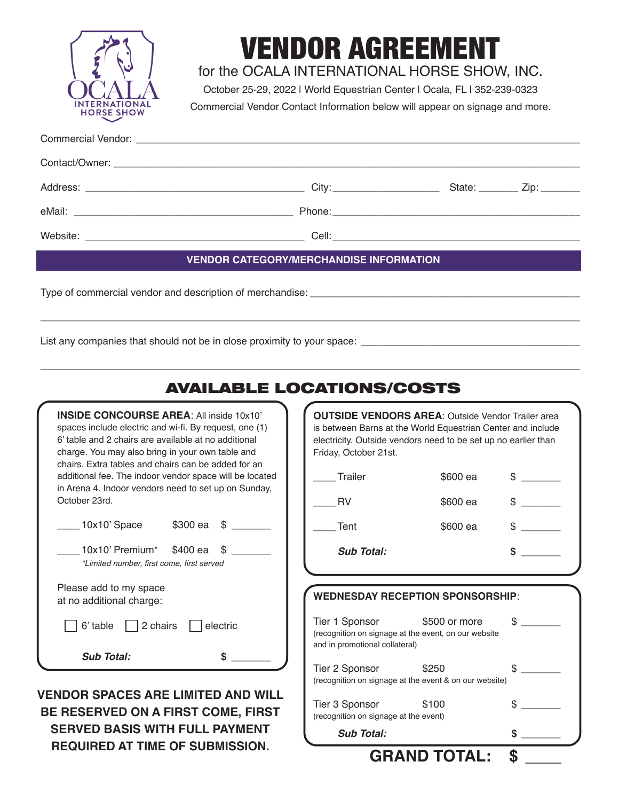

# VENDOR AGREEMENT

for the OCALA INTERNATIONAL HORSE SHOW, INC.

October 25-29, 2022 | World Equestrian Center | Ocala, FL | 352-239-0323

Commercial Vendor Contact Information below will appear on signage and more.

| <b>VENDOR CATEGORY/MERCHANDISE INFORMATION</b>                                                                                                                                                                                 |  |  |  |  |  |
|--------------------------------------------------------------------------------------------------------------------------------------------------------------------------------------------------------------------------------|--|--|--|--|--|
| The contract and contracted contracted and all all and definitions of the contracted and display the contracted of the contracted of the contracted of the contracted of the contracted of the contracted of the contracted of |  |  |  |  |  |

\_\_\_\_\_\_\_\_\_\_\_\_\_\_\_\_\_\_\_\_\_\_\_\_\_\_\_\_\_\_\_\_\_\_\_\_\_\_\_\_\_\_\_\_\_\_\_\_\_\_\_\_\_\_\_\_\_\_\_\_\_\_\_\_\_\_\_\_\_\_\_\_\_\_\_\_\_\_\_\_\_\_\_\_\_\_\_\_\_\_\_\_\_\_\_\_

\_\_\_\_\_\_\_\_\_\_\_\_\_\_\_\_\_\_\_\_\_\_\_\_\_\_\_\_\_\_\_\_\_\_\_\_\_\_\_\_\_\_\_\_\_\_\_\_\_\_\_\_\_\_\_\_\_\_\_\_\_\_\_\_\_\_\_\_\_\_\_\_\_\_\_\_\_\_\_\_\_\_\_\_\_\_\_\_\_\_\_\_\_\_\_\_

Type of commercial vendor and description of merchandise:

List any companies that should not be in close proximity to your space:

| <b>AVAILABLE LOCATIONS/COSTS</b>                                                                                                                                                                                                                                             |                                                                                                                                                                                                                    |                                                                 |                               |
|------------------------------------------------------------------------------------------------------------------------------------------------------------------------------------------------------------------------------------------------------------------------------|--------------------------------------------------------------------------------------------------------------------------------------------------------------------------------------------------------------------|-----------------------------------------------------------------|-------------------------------|
| <b>INSIDE CONCOURSE AREA: All inside 10x10'</b><br>spaces include electric and wi-fi. By request, one (1)<br>6' table and 2 chairs are available at no additional<br>charge. You may also bring in your own table and<br>chairs. Extra tables and chairs can be added for an | <b>OUTSIDE VENDORS AREA: Outside Vendor Trailer area</b><br>is between Barns at the World Equestrian Center and include<br>electricity. Outside vendors need to be set up no earlier than<br>Friday, October 21st. |                                                                 |                               |
| additional fee. The indoor vendor space will be located                                                                                                                                                                                                                      | Trailer                                                                                                                                                                                                            | \$600 ea                                                        |                               |
| in Arena 4. Indoor vendors need to set up on Sunday,<br>October 23rd.                                                                                                                                                                                                        | <b>RV</b>                                                                                                                                                                                                          | \$600 ea                                                        | $\mathbb{S}$ and $\mathbb{S}$ |
| 10x10'Space<br>\$300 ea<br>\$                                                                                                                                                                                                                                                | Tent                                                                                                                                                                                                               | \$600 ea                                                        |                               |
| 10x10' Premium*<br>\$400 ea<br>\$<br>*Limited number, first come, first served                                                                                                                                                                                               | <b>Sub Total:</b>                                                                                                                                                                                                  |                                                                 | \$                            |
| Please add to my space<br>at no additional charge:                                                                                                                                                                                                                           |                                                                                                                                                                                                                    | <b>WEDNESDAY RECEPTION SPONSORSHIP:</b>                         |                               |
| 2 chairs<br>electric<br>6' table                                                                                                                                                                                                                                             | Tier 1 Sponsor<br>(recognition on signage at the event, on our website<br>and in promotional collateral)                                                                                                           | \$500 or more                                                   | $\mathbb{S}$                  |
| <b>Sub Total:</b>                                                                                                                                                                                                                                                            | Tier 2 Sponsor                                                                                                                                                                                                     | \$250<br>(recognition on signage at the event & on our website) | $\mathbb{S}$                  |
| <b>VENDOR SPACES ARE LIMITED AND WILL</b><br>BE RESERVED ON A FIRST COME, FIRST                                                                                                                                                                                              | Tier 3 Sponsor<br>(recognition on signage at the event)                                                                                                                                                            | \$100                                                           |                               |
| <b>SERVED BASIS WITH FULL PAYMENT</b>                                                                                                                                                                                                                                        | <b>Sub Total:</b>                                                                                                                                                                                                  |                                                                 | \$                            |

**GRAND TOTAL: \$ \_\_\_\_**

**SERVED BASIS WITH FULL PAYMENT REQUIRED AT TIME OF SUBMISSION.**